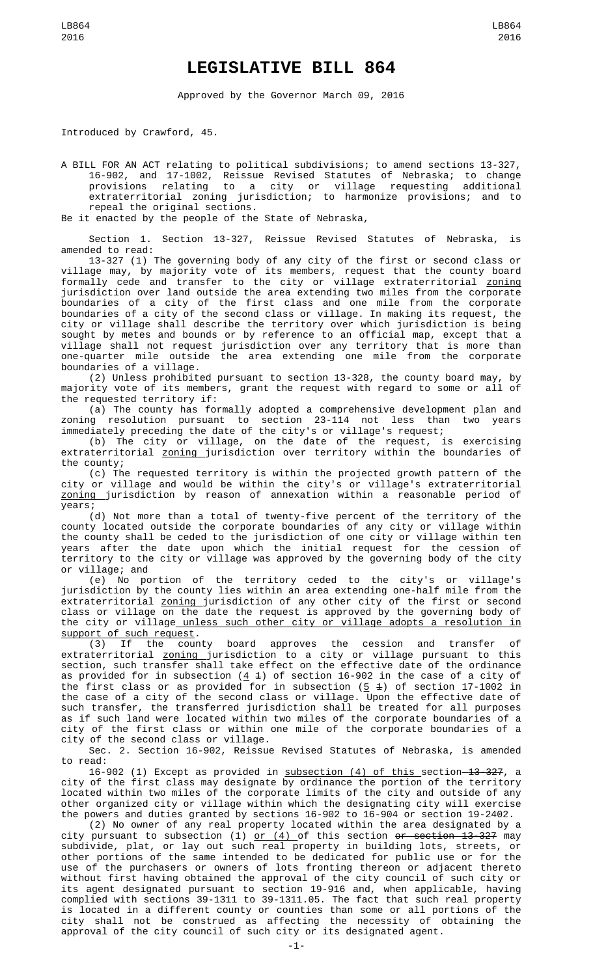## **LEGISLATIVE BILL 864**

Approved by the Governor March 09, 2016

Introduced by Crawford, 45.

A BILL FOR AN ACT relating to political subdivisions; to amend sections 13-327, 16-902, and 17-1002, Reissue Revised Statutes of Nebraska; to change provisions relating to a city or village requesting additional extraterritorial zoning jurisdiction; to harmonize provisions; and to repeal the original sections.

Be it enacted by the people of the State of Nebraska,

Section 1. Section 13-327, Reissue Revised Statutes of Nebraska, is amended to read:

13-327 (1) The governing body of any city of the first or second class or village may, by majority vote of its members, request that the county board formally cede and transfer to the city or village extraterritorial <u>zoning</u> jurisdiction over land outside the area extending two miles from the corporate boundaries of a city of the first class and one mile from the corporate boundaries of a city of the second class or village. In making its request, the city or village shall describe the territory over which jurisdiction is being sought by metes and bounds or by reference to an official map, except that a village shall not request jurisdiction over any territory that is more than one-quarter mile outside the area extending one mile from the corporate boundaries of a village.

(2) Unless prohibited pursuant to section 13-328, the county board may, by majority vote of its members, grant the request with regard to some or all of the requested territory if:

(a) The county has formally adopted a comprehensive development plan and zoning resolution pursuant to section 23-114 not less than two years immediately preceding the date of the city's or village's request;

(b) The city or village, on the date of the request, is exercising extraterritorial <u>zoning j</u>urisdiction over territory within the boundaries of the county;

(c) The requested territory is within the projected growth pattern of the city or village and would be within the city's or village's extraterritorial zoning jurisdiction by reason of annexation within a reasonable period of years;

(d) Not more than a total of twenty-five percent of the territory of the county located outside the corporate boundaries of any city or village within the county shall be ceded to the jurisdiction of one city or village within ten years after the date upon which the initial request for the cession of territory to the city or village was approved by the governing body of the city or village; and

(e) No portion of the territory ceded to the city's or village's jurisdiction by the county lies within an area extending one-half mile from the extraterritorial <u>zoning j</u>urisdiction of any other city of the first or second class or village on the date the request is approved by the governing body of the city or village unless such other city or village adopts a resolution in support of such request.<br>(3) If the county

board approves the cession and transfer of extraterritorial zoning jurisdiction to a city or village pursuant to this section, such transfer shall take effect on the effective date of the ordinance as provided for in subsection ( $4$   $4$ ) of section 16-902 in the case of a city of the first class or as provided for in subsection ( $5/4$ ) of section 17-1002 in the case of a city of the second class or village. Upon the effective date of such transfer, the transferred jurisdiction shall be treated for all purposes as if such land were located within two miles of the corporate boundaries of a city of the first class or within one mile of the corporate boundaries of a city of the second class or village.

Sec. 2. Section 16-902, Reissue Revised Statutes of Nebraska, is amended to read:

16-902 (1) Except as provided in subsection (4) of this section 13-327, a city of the first class may designate by ordinance the portion of the territory located within two miles of the corporate limits of the city and outside of any other organized city or village within which the designating city will exercise the powers and duties granted by sections 16-902 to 16-904 or section 19-2402.

(2) No owner of any real property located within the area designated by a city pursuant to subsection (1) <u>or (4) </u>of this section <del>or section 13-327</del> may subdivide, plat, or lay out such real property in building lots, streets, or other portions of the same intended to be dedicated for public use or for the use of the purchasers or owners of lots fronting thereon or adjacent thereto without first having obtained the approval of the city council of such city or its agent designated pursuant to section 19-916 and, when applicable, having complied with sections 39-1311 to 39-1311.05. The fact that such real property is located in a different county or counties than some or all portions of the city shall not be construed as affecting the necessity of obtaining the approval of the city council of such city or its designated agent.